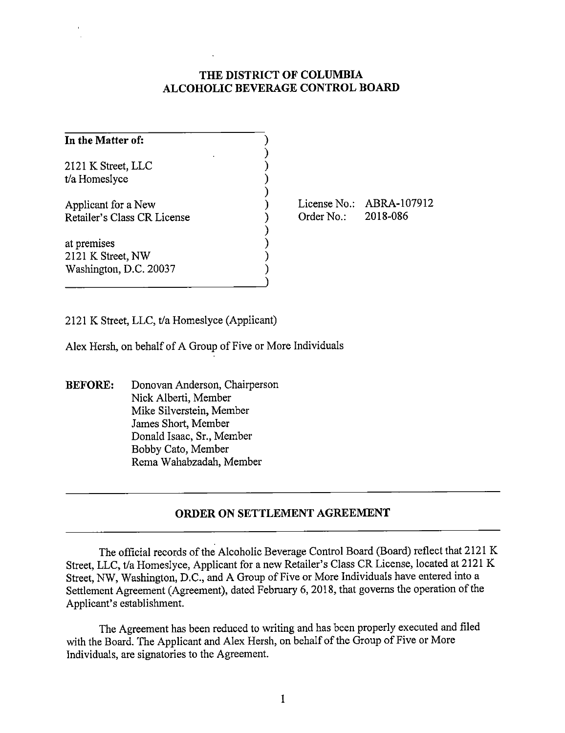## **THE DISTRICT OF COLUMBIA ALCOHOLIC BEVERAGE CONTROL BOARD**

| In the Matter of:                                          |  |
|------------------------------------------------------------|--|
| 2121 K Street, LLC<br>t/a Homeslyce                        |  |
| Applicant for a New<br>Retailer's Class CR License         |  |
| at premises<br>2121 K Street, NW<br>Washington, D.C. 20037 |  |

License No.: ABRA-107912 Order No.: 2018-086

2121 K Street, LLC, t/a Homeslyce (Applicant)

Alex Hersh, on behalf of A Group of Five or More Individuals

**BEFORE:** Donovan Anderson, Chairperson Nick Alberti, Member Mike Silverstein, Member James Short, Member Donald Isaac, Sr., Member Bobby Cato, Member Rema Wahabzadah, Member

## **ORDER ON SETTLEMENT AGREEMENT**

The official records of the Alcoholic Beverage Control Board (Board) reflect that 2121 K Street, LLC, t/a Homeslyce, Applicant for a new Retailer's Class CR License, located at 2121 K Street, NW, Washington, D.C., and A Group of Five or More Individuals have entered into a Settlement Agreement (Agreement), dated February 6, 2018, that governs the operation of the Applicant's establishment.

The Agreement has been reduced to writing and has been properly executed and filed with the Board. The Applicant and Alex Hersh, on behalf of the Group of Five or More Individuals, are signatories to the Agreement.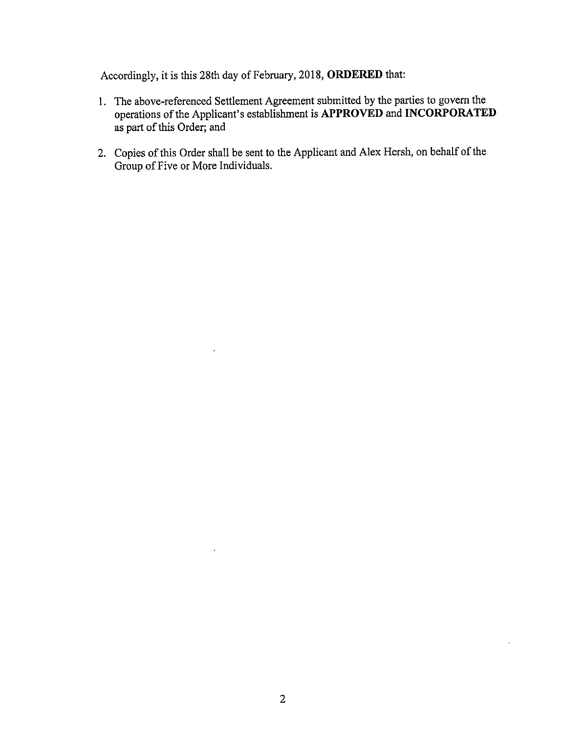Accordingly, it is this 28th day of February, 2018, **ORDERED** that:

- 1. The above-referenced Settlement Agreement submitted by the parties to govern the operations of the Applicant's establishment is **APPROVED and INCORPORATED**  as part of this Order; and
- 2. Copies of this Order shall be sent to the Applicant and Alex Hersh, on behalf of the Group of Five or More Individuals.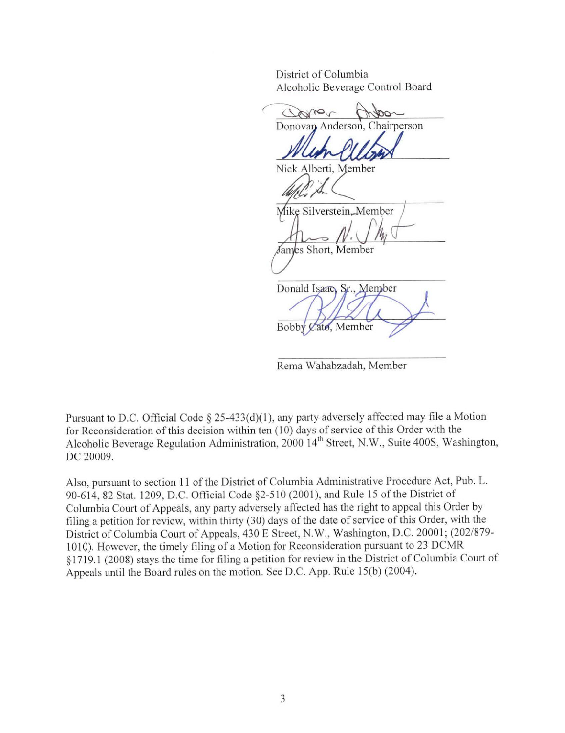District of Columbia Alcoholic Beverage Control Board

Clares Donovan Anderson, Chairperson Nick Alberti, Member Mike Silverstein, Member James Short, Member Donald Isaao, Sr., Member Bobby Cato, Member

Rema Wahabzadah, Member

Pursuant to D.C. Official Code § 25-433(d)(1), any party adversely affected may file a Motion for Reconsideration of this decision within ten (10) days of service of this Order with the Alcoholic Beverage Regulation Administration, 2000 14<sup>th</sup> Street, N.W., Suite 400S, Washington, DC 20009.

Also, pursuant to section 11 of the District of Columbia Administrative Procedure Act, Pub. L. 90-6 14, 82 Stat. 1209, D.C. Official Code §2-510 (2001), and Rule 15 of the District of Columbia Court of Appeals, any party adversely affected has the right to appeal this Order by filing a petition for review, within thirty (30) days of the date of service of this Order, with the District of Columbia Court of Appeals, 430 E Street, N.W., Washington, D.C. 20001; (202/879- 1010). However, the timely filing of a Motion for Reconsideration pursuant to 23 DCMR § 17 19.1 (2008) stays the time for filing a petition for review in the District of Columbia Court of Appeals until the Board rules on the motion. See D.C. App. Rule 15(b) (2004).